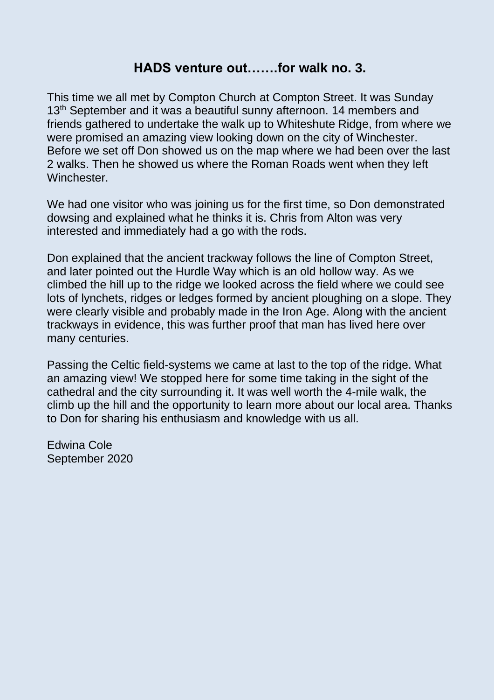## **HADS venture out…….for walk no. 3.**

This time we all met by Compton Church at Compton Street. It was Sunday 13<sup>th</sup> September and it was a beautiful sunny afternoon. 14 members and friends gathered to undertake the walk up to Whiteshute Ridge, from where we were promised an amazing view looking down on the city of Winchester. Before we set off Don showed us on the map where we had been over the last 2 walks. Then he showed us where the Roman Roads went when they left Winchester.

We had one visitor who was joining us for the first time, so Don demonstrated dowsing and explained what he thinks it is. Chris from Alton was very interested and immediately had a go with the rods.

Don explained that the ancient trackway follows the line of Compton Street, and later pointed out the Hurdle Way which is an old hollow way. As we climbed the hill up to the ridge we looked across the field where we could see lots of lynchets, ridges or ledges formed by ancient ploughing on a slope. They were clearly visible and probably made in the Iron Age. Along with the ancient trackways in evidence, this was further proof that man has lived here over many centuries.

Passing the Celtic field-systems we came at last to the top of the ridge. What an amazing view! We stopped here for some time taking in the sight of the cathedral and the city surrounding it. It was well worth the 4-mile walk, the climb up the hill and the opportunity to learn more about our local area. Thanks to Don for sharing his enthusiasm and knowledge with us all.

Edwina Cole September 2020